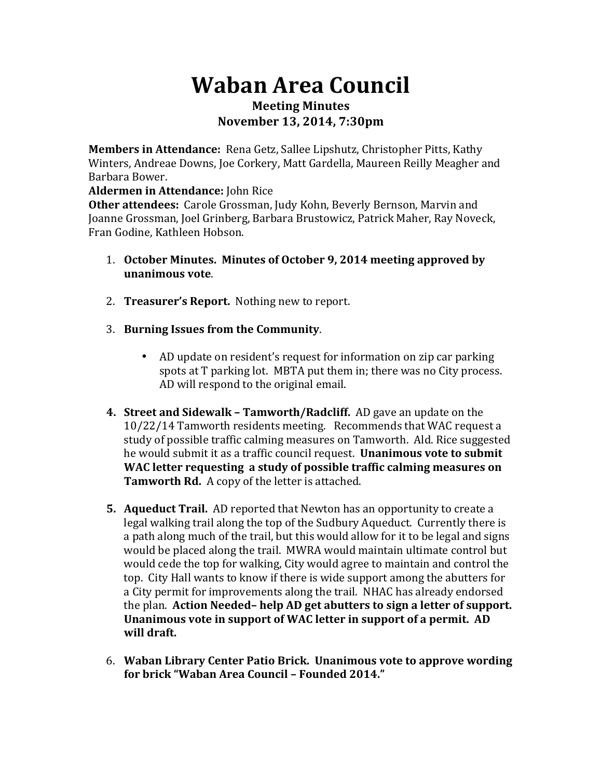## **Waban Area Council Meeting Minutes November 13, 2014, 7:30pm**

**Members in Attendance:** Rena Getz, Sallee Lipshutz, Christopher Pitts, Kathy Winters, Andreae Downs, Joe Corkery, Matt Gardella, Maureen Reilly Meagher and Barbara Bower.

**Aldermen in Attendance:** John Rice

**Other attendees:** Carole Grossman, Judy Kohn, Beverly Bernson, Marvin and Joanne Grossman, Joel Grinberg, Barbara Brustowicz, Patrick Maher, Ray Noveck, Fran Godine, Kathleen Hobson.

- 1. October Minutes. Minutes of October 9, 2014 meeting approved by **unanimous vote**.
- 2. **Treasurer's Report.** Nothing new to report.
- 3. **Burning Issues from the Community.** 
	- AD update on resident's request for information on zip car parking spots at T parking lot. MBTA put them in; there was no City process. AD will respond to the original email.
- **4. Street and Sidewalk Tamworth/Radcliff.** AD gave an update on the 10/22/14 Tamworth residents meeting. Recommends that WAC request a study of possible traffic calming measures on Tamworth. Ald. Rice suggested he would submit it as a traffic council request. **Unanimous vote to submit** WAC letter requesting a study of possible traffic calming measures on **Tamworth Rd.** A copy of the letter is attached.
- **5. Aqueduct Trail.** AD reported that Newton has an opportunity to create a legal walking trail along the top of the Sudbury Aqueduct. Currently there is a path along much of the trail, but this would allow for it to be legal and signs would be placed along the trail. MWRA would maintain ultimate control but would cede the top for walking, City would agree to maintain and control the top. City Hall wants to know if there is wide support among the abutters for a City permit for improvements along the trail. NHAC has already endorsed the plan. Action Needed-help AD get abutters to sign a letter of support. Unanimous vote in support of WAC letter in support of a permit. AD will draft.
- 6. Waban Library Center Patio Brick. Unanimous vote to approve wording for brick "Waban Area Council - Founded 2014."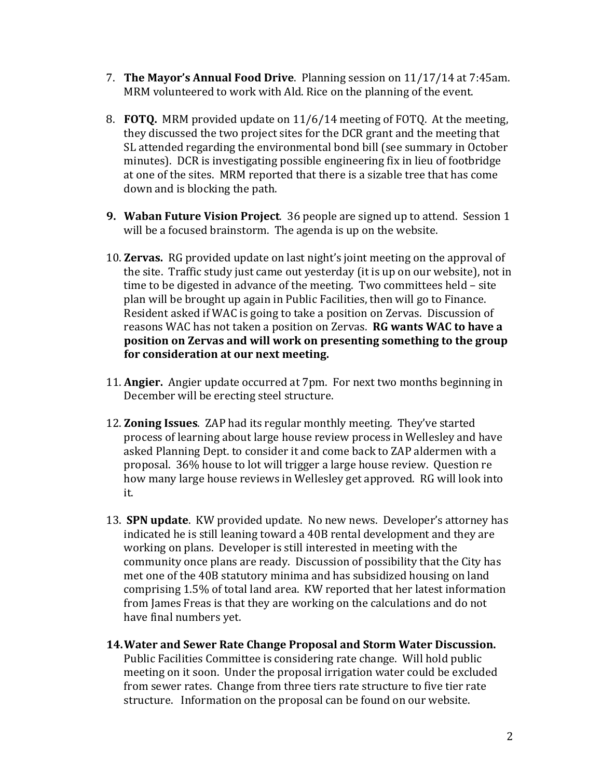- 7. **The Mayor's Annual Food Drive**. Planning session on 11/17/14 at 7:45am. MRM volunteered to work with Ald. Rice on the planning of the event.
- 8. **FOTO.** MRM provided update on 11/6/14 meeting of FOTO. At the meeting, they discussed the two project sites for the DCR grant and the meeting that SL attended regarding the environmental bond bill (see summary in October minutes). DCR is investigating possible engineering fix in lieu of footbridge at one of the sites. MRM reported that there is a sizable tree that has come down and is blocking the path.
- **9.** Waban Future Vision Project. 36 people are signed up to attend. Session 1 will be a focused brainstorm. The agenda is up on the website.
- 10. **Zervas.** RG provided update on last night's joint meeting on the approval of the site. Traffic study just came out vesterday (it is up on our website), not in time to be digested in advance of the meeting. Two committees held - site plan will be brought up again in Public Facilities, then will go to Finance. Resident asked if WAC is going to take a position on Zervas. Discussion of reasons WAC has not taken a position on Zervas. **RG wants WAC to have a position on Zervas and will work on presenting something to the group** for consideration at our next meeting.
- 11. **Angier.** Angier update occurred at 7pm. For next two months beginning in December will be erecting steel structure.
- 12. **Zoning Issues**. ZAP had its regular monthly meeting. They've started process of learning about large house review process in Wellesley and have asked Planning Dept. to consider it and come back to ZAP aldermen with a proposal. 36% house to lot will trigger a large house review. Question re how many large house reviews in Wellesley get approved. RG will look into it.
- 13. **SPN update**. KW provided update. No new news. Developer's attorney has indicated he is still leaning toward a 40B rental development and they are working on plans. Developer is still interested in meeting with the community once plans are ready. Discussion of possibility that the City has met one of the 40B statutory minima and has subsidized housing on land comprising 1.5% of total land area. KW reported that her latest information from James Freas is that they are working on the calculations and do not have final numbers vet.
- 14. Water and Sewer Rate Change Proposal and Storm Water Discussion. Public Facilities Committee is considering rate change. Will hold public meeting on it soon. Under the proposal irrigation water could be excluded from sewer rates. Change from three tiers rate structure to five tier rate structure. Information on the proposal can be found on our website.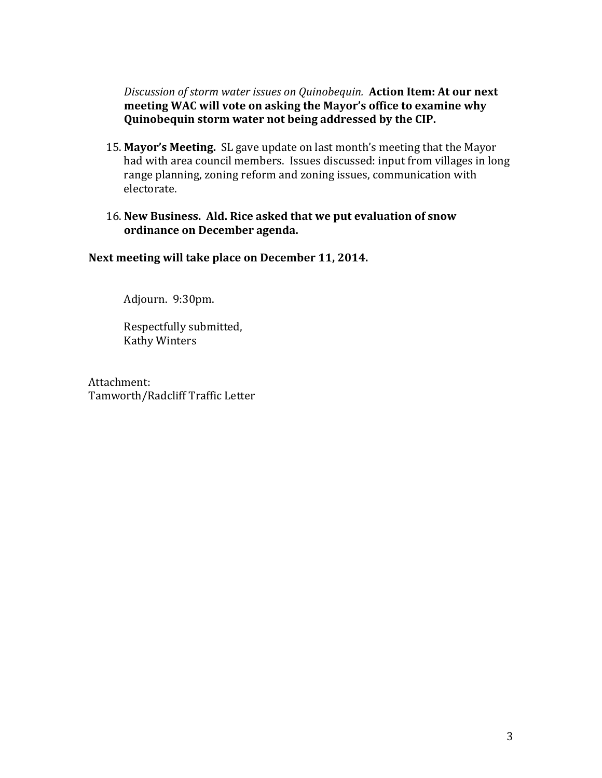*Discussion of storm water issues on Quinobequin.* Action Item: At our next meeting WAC will vote on asking the Mayor's office to examine why **Quinobequin storm water not being addressed by the CIP.** 

- 15. Mayor's Meeting. SL gave update on last month's meeting that the Mayor had with area council members. Issues discussed: input from villages in long range planning, zoning reform and zoning issues, communication with electorate.
- 16. New Business. Ald. Rice asked that we put evaluation of snow ordinance on December agenda.

Next meeting will take place on December 11, 2014.

Adjourn. 9:30pm.

Respectfully submitted, **Kathy Winters** 

Attachment: Tamworth/Radcliff Traffic Letter